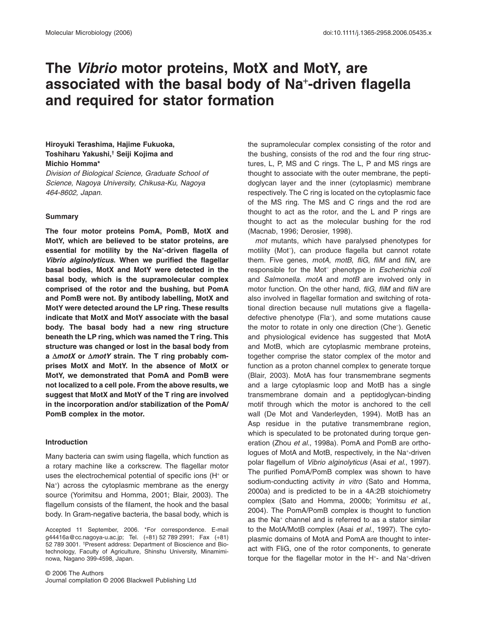# **The Vibrio motor proteins, MotX and MotY, are associated with the basal body of Na**<sup>+</sup> **-driven flagella and required for stator formation**

# **Hiroyuki Terashima, Hajime Fukuoka, Toshiharu Yakushi,† Seiji Kojima and Michio Homma\***

Division of Biological Science, Graduate School of Science, Nagoya University, Chikusa-Ku, Nagoya 464-8602, Japan.

# **Summary**

**The four motor proteins PomA, PomB, MotX and MotY, which are believed to be stator proteins, are essential for motility by the Na**<sup>+</sup> **-driven flagella of Vibrio alginolyticus. When we purified the flagellar basal bodies, MotX and MotY were detected in the basal body, which is the supramolecular complex comprised of the rotor and the bushing, but PomA and PomB were not. By antibody labelling, MotX and MotY were detected around the LP ring. These results indicate that MotX and MotY associate with the basal body. The basal body had a new ring structure beneath the LP ring, which was named the T ring. This structure was changed or lost in the basal body from** a  $\Delta$ *motX* or  $\Delta$ *motY* strain. The T ring probably com**prises MotX and MotY. In the absence of MotX or MotY, we demonstrated that PomA and PomB were not localized to a cell pole. From the above results, we suggest that MotX and MotY of the T ring are involved in the incorporation and/or stabilization of the PomA/ PomB complex in the motor.**

# **Introduction**

Many bacteria can swim using flagella, which function as a rotary machine like a corkscrew. The flagellar motor uses the electrochemical potential of specific ions (H<sup>+</sup> or Na<sup>+</sup> ) across the cytoplasmic membrane as the energy source (Yorimitsu and Homma, 2001; Blair, 2003). The flagellum consists of the filament, the hook and the basal body. In Gram-negative bacteria, the basal body, which is

Accepted 11 September, 2006. \*For correspondence. E-mail [g44416a@cc.nagoya-u.ac.jp;](mailto:g44416a@cc.nagoya-u.ac.jp) Tel. (+81) 52 789 2991; Fax (+81) 52 789 3001. † Present address: Department of Bioscience and Biotechnology, Faculty of Agriculture, Shinshu University, Minamiminowa, Nagano 399-4598, Japan.

© 2006 The Authors Journal compilation © 2006 Blackwell Publishing Ltd the supramolecular complex consisting of the rotor and the bushing, consists of the rod and the four ring structures, L, P, MS and C rings. The L, P and MS rings are thought to associate with the outer membrane, the peptidoglycan layer and the inner (cytoplasmic) membrane respectively. The C ring is located on the cytoplasmic face of the MS ring. The MS and C rings and the rod are thought to act as the rotor, and the L and P rings are thought to act as the molecular bushing for the rod (Macnab, 1996; Derosier, 1998).

mot mutants, which have paralysed phenotypes for motility (Mot– ), can produce flagella but cannot rotate them. Five genes, motA, motB, fliG, fliM and fliN, are responsible for the Mot<sup>-</sup> phenotype in Escherichia coli and Salmonella. motA and motB are involved only in motor function. On the other hand, fliG, fliM and fliN are also involved in flagellar formation and switching of rotational direction because null mutations give a flagelladefective phenotype (Fla– ), and some mutations cause the motor to rotate in only one direction (Che– ). Genetic and physiological evidence has suggested that MotA and MotB, which are cytoplasmic membrane proteins, together comprise the stator complex of the motor and function as a proton channel complex to generate torque (Blair, 2003). MotA has four transmembrane segments and a large cytoplasmic loop and MotB has a single transmembrane domain and a peptidoglycan-binding motif through which the motor is anchored to the cell wall (De Mot and Vanderleyden, 1994). MotB has an Asp residue in the putative transmembrane region, which is speculated to be protonated during torque generation (Zhou et al., 1998a). PomA and PomB are orthologues of MotA and MotB, respectively, in the Na<sup>+</sup>-driven polar flagellum of Vibrio alginolyticus (Asai et al., 1997). The purified PomA/PomB complex was shown to have sodium-conducting activity *in vitro* (Sato and Homma, 2000a) and is predicted to be in a 4A:2B stoichiometry complex (Sato and Homma, 2000b; Yorimitsu et al., 2004). The PomA/PomB complex is thought to function as the Na<sup>+</sup> channel and is referred to as a stator similar to the MotA/MotB complex (Asai et al., 1997). The cytoplasmic domains of MotA and PomA are thought to interact with FliG, one of the rotor components, to generate torque for the flagellar motor in the H<sup>+</sup>- and Na<sup>+</sup>-driven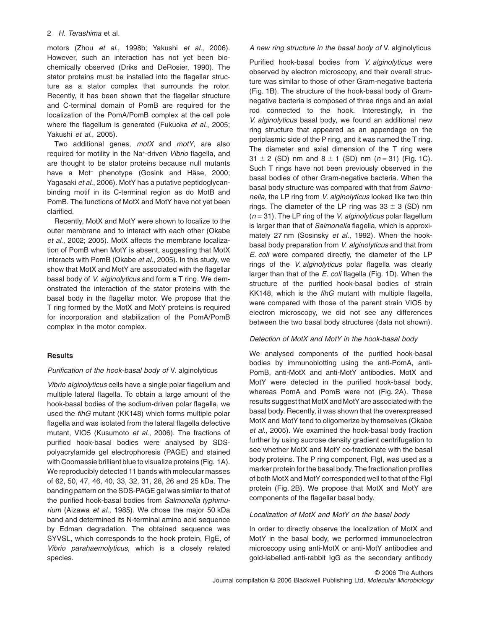motors (Zhou et al., 1998b; Yakushi et al., 2006). However, such an interaction has not yet been biochemically observed (Driks and DeRosier, 1990). The stator proteins must be installed into the flagellar structure as a stator complex that surrounds the rotor. Recently, it has been shown that the flagellar structure and C-terminal domain of PomB are required for the localization of the PomA/PomB complex at the cell pole where the flagellum is generated (Fukuoka et al., 2005; Yakushi et al., 2005).

Two additional genes,  $motX$  and  $motY$ , are also required for motility in the Na<sup>+</sup>-driven Vibrio flagella, and are thought to be stator proteins because null mutants have a Mot<sup>-</sup> phenotype (Gosink and Häse, 2000; Yagasaki et al., 2006). MotY has a putative peptidoglycanbinding motif in its C-terminal region as do MotB and PomB. The functions of MotX and MotY have not yet been clarified.

Recently, MotX and MotY were shown to localize to the outer membrane and to interact with each other (Okabe et al., 2002; 2005). MotX affects the membrane localization of PomB when MotY is absent, suggesting that MotX interacts with PomB (Okabe et al., 2005). In this study, we show that MotX and MotY are associated with the flagellar basal body of *V. alginolyticus* and form a T ring. We demonstrated the interaction of the stator proteins with the basal body in the flagellar motor. We propose that the T ring formed by the MotX and MotY proteins is required for incorporation and stabilization of the PomA/PomB complex in the motor complex.

# **Results**

# Purification of the hook-basal body of V. alginolyticus

Vibrio alginolyticus cells have a single polar flagellum and multiple lateral flagella. To obtain a large amount of the hook-basal bodies of the sodium-driven polar flagella, we used the flhG mutant (KK148) which forms multiple polar flagella and was isolated from the lateral flagella defective mutant, VIO5 (Kusumoto et al., 2006). The fractions of purified hook-basal bodies were analysed by SDSpolyacrylamide gel electrophoresis (PAGE) and stained with Coomassie brilliant blue to visualize proteins (Fig. 1A). We reproducibly detected 11 bands with molecular masses of 62, 50, 47, 46, 40, 33, 32, 31, 28, 26 and 25 kDa. The banding pattern on the SDS-PAGE gel was similar to that of the purified hook-basal bodies from Salmonella typhimurium (Aizawa et al., 1985). We chose the major 50 kDa band and determined its N-terminal amino acid sequence by Edman degradation. The obtained sequence was SYVSL, which corresponds to the hook protein, FlgE, of Vibrio parahaemolyticus, which is a closely related species.

# A new ring structure in the basal body of V. alginolyticus

Purified hook-basal bodies from V. alginolyticus were observed by electron microscopy, and their overall structure was similar to those of other Gram-negative bacteria (Fig. 1B). The structure of the hook-basal body of Gramnegative bacteria is composed of three rings and an axial rod connected to the hook. Interestingly, in the V. alginolyticus basal body, we found an additional new ring structure that appeared as an appendage on the periplasmic side of the P ring, and it was named the T ring. The diameter and axial dimension of the T ring were  $31 \pm 2$  (SD) nm and  $8 \pm 1$  (SD) nm (n = 31) (Fig. 1C). Such T rings have not been previously observed in the basal bodies of other Gram-negative bacteria. When the basal body structure was compared with that from Salmonella, the LP ring from V. alginolyticus looked like two thin rings. The diameter of the LP ring was  $33 \pm 3$  (SD) nm  $(n = 31)$ . The LP ring of the *V. alginolyticus* polar flagellum is larger than that of Salmonella flagella, which is approximately 27 nm (Sosinsky et al., 1992). When the hookbasal body preparation from V. alginolyticus and that from E. coli were compared directly, the diameter of the LP rings of the V. alginolyticus polar flagella was clearly larger than that of the E. coli flagella (Fig. 1D). When the structure of the purified hook-basal bodies of strain KK148, which is the flhG mutant with multiple flagella, were compared with those of the parent strain VIO5 by electron microscopy, we did not see any differences between the two basal body structures (data not shown).

# Detection of MotX and MotY in the hook-basal body

We analysed components of the purified hook-basal bodies by immunoblotting using the anti-PomA, anti-PomB, anti-MotX and anti-MotY antibodies. MotX and MotY were detected in the purified hook-basal body, whereas PomA and PomB were not (Fig. 2A). These results suggest that MotX and MotYare associated with the basal body. Recently, it was shown that the overexpressed MotX and MotY tend to oligomerize by themselves (Okabe et al., 2005). We examined the hook-basal body fraction further by using sucrose density gradient centrifugation to see whether MotX and MotY co-fractionate with the basal body proteins. The P ring component, FlgI, was used as a marker protein for the basal body. The fractionation profiles of both MotX and MotY corresponded well to that of the FigI protein (Fig. 2B). We propose that MotX and MotY are components of the flagellar basal body.

# Localization of MotX and MotY on the basal body

In order to directly observe the localization of MotX and MotY in the basal body, we performed immunoelectron microscopy using anti-MotX or anti-MotY antibodies and gold-labelled anti-rabbit IgG as the secondary antibody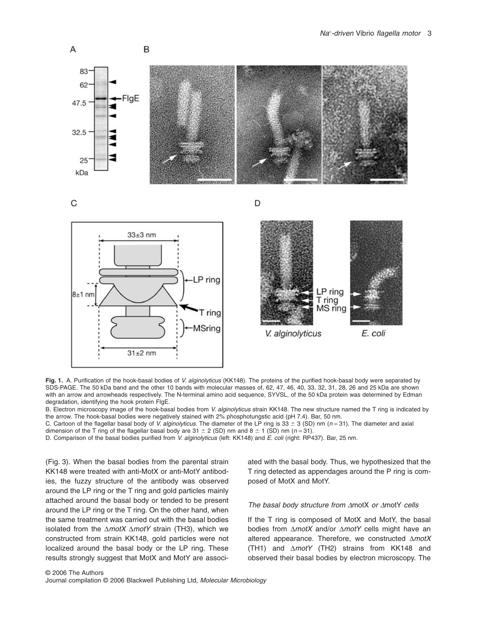

**Fig. 1.** A. Purification of the hook-basal bodies of V. alginolyticus (KK148). The proteins of the purified hook-basal body were separated by SDS-PAGE. The 50 kDa band and the other 10 bands with molecular masses of, 62, 47, 46, 40, 33, 32, 31, 28, 26 and 25 kDa are shown with an arrow and arrowheads respectively. The N-terminal amino acid sequence, SYVSL, of the 50 kDa protein was determined by Edman degradation, identifying the hook protein FlgE.

B. Electron microscopy image of the hook-basal bodies from V. alginolyticus strain KK148. The new structure named the T ring is indicated by the arrow. The hook-basal bodies were negatively stained with 2% phosphotungstic acid (pH 7.4). Bar, 50 nm.

C. Cartoon of the flagellar basal body of V. alginolyticus. The diameter of the LP ring is  $33 \pm 3$  (SD) nm (n = 31). The diameter and axial dimension of the T ring of the flagellar basal body are  $31 \pm 2$  (SD) nm and  $8 \pm 1$  (SD) nm (n = 31).

D. Comparison of the basal bodies purified from V. alginolyticus (left: KK148) and E. coli (right: RP437). Bar, 25 nm.

(Fig. 3). When the basal bodies from the parental strain KK148 were treated with anti-MotX or anti-MotY antibodies, the fuzzy structure of the antibody was observed around the LP ring or the T ring and gold particles mainly attached around the basal body or tended to be present around the LP ring or the T ring. On the other hand, when the same treatment was carried out with the basal bodies isolated from the  $\Delta motX \Delta motY$  strain (TH3), which we constructed from strain KK148, gold particles were not localized around the basal body or the LP ring. These results strongly suggest that MotX and MotY are associated with the basal body. Thus, we hypothesized that the T ring detected as appendages around the P ring is composed of MotX and MotY.

# The basal body structure from  $\Delta$ motX or  $\Delta$ motY cells

If the T ring is composed of MotX and MotY, the basal bodies from  $\Delta motX$  and/or  $\Delta motY$  cells might have an altered appearance. Therefore, we constructed  $\Delta motX$ (TH1) and  $\Delta motY$  (TH2) strains from KK148 and observed their basal bodies by electron microscopy. The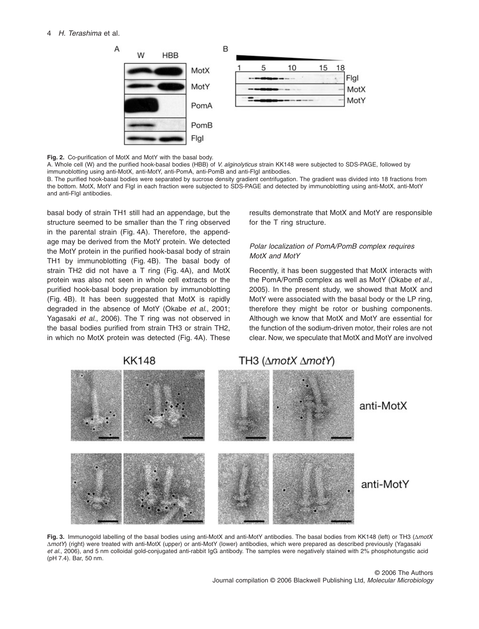

**Fig. 2.** Co-purification of MotX and MotY with the basal body.

A. Whole cell (W) and the purified hook-basal bodies (HBB) of V. alginolyticus strain KK148 were subjected to SDS-PAGE, followed by immunoblotting using anti-MotX, anti-MotY, anti-PomA, anti-PomB and anti-FlgI antibodies.

B. The purified hook-basal bodies were separated by sucrose density gradient centrifugation. The gradient was divided into 18 fractions from the bottom. MotX, MotY and FlgI in each fraction were subjected to SDS-PAGE and detected by immunoblotting using anti-MotX, anti-MotY and anti-FlgI antibodies.

basal body of strain TH1 still had an appendage, but the structure seemed to be smaller than the T ring observed in the parental strain (Fig. 4A). Therefore, the appendage may be derived from the MotY protein. We detected the MotY protein in the purified hook-basal body of strain TH1 by immunoblotting (Fig. 4B). The basal body of strain TH2 did not have a T ring (Fig. 4A), and MotX protein was also not seen in whole cell extracts or the purified hook-basal body preparation by immunoblotting (Fig. 4B). It has been suggested that MotX is rapidly degraded in the absence of MotY (Okabe et al., 2001; Yagasaki et al., 2006). The T ring was not observed in the basal bodies purified from strain TH3 or strain TH2, in which no MotX protein was detected (Fig. 4A). These results demonstrate that MotX and MotY are responsible for the T ring structure.

# Polar localization of PomA/PomB complex requires MotX and MotY

Recently, it has been suggested that MotX interacts with the PomA/PomB complex as well as MotY (Okabe et al., 2005). In the present study, we showed that MotX and MotY were associated with the basal body or the LP ring, therefore they might be rotor or bushing components. Although we know that MotX and MotY are essential for the function of the sodium-driven motor, their roles are not clear. Now, we speculate that MotX and MotY are involved



Fig. 3. Immunogold labelling of the basal bodies using anti-MotX and anti-MotY antibodies. The basal bodies from KK148 (left) or TH3 ( $\Delta motX$ AmotY) (right) were treated with anti-MotX (upper) or anti-MotY (lower) antibodies, which were prepared as described previously (Yagasaki et al., 2006), and 5 nm colloidal gold-conjugated anti-rabbit IgG antibody. The samples were negatively stained with 2% phosphotungstic acid (pH 7.4). Bar, 50 nm.

# **KK148**

# TH3 (∆motX ∆motY)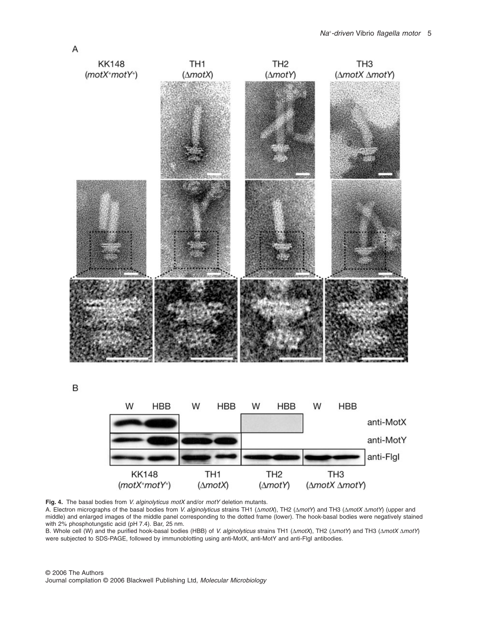

B



**Fig. 4.** The basal bodies from V. alginolyticus motX and/or motY deletion mutants.

A. Electron micrographs of the basal bodies from V. alginolyticus strains TH1 ( $\Delta motX$ ), TH2 ( $\Delta motY$ ) and TH3 ( $\Delta motX \Delta motY$ ) (upper and middle) and enlarged images of the middle panel corresponding to the dotted frame (lower). The hook-basal bodies were negatively stained with 2% phosphotungstic acid (pH 7.4). Bar, 25 nm.

B. Whole cell (W) and the purified hook-basal bodies (HBB) of V. alginolyticus strains TH1 ( $\triangle motX$ ), TH2 ( $\triangle motY$ ) and TH3 ( $\triangle motX \triangle motY$ ) were subjected to SDS-PAGE, followed by immunoblotting using anti-MotX, anti-MotY and anti-FlgI antibodies.

© 2006 The Authors Journal compilation © 2006 Blackwell Publishing Ltd, Molecular Microbiology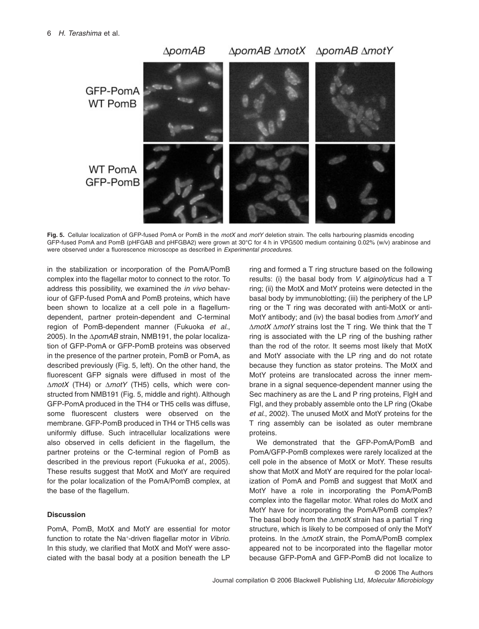

**Fig. 5.** Cellular localization of GFP-fused PomA or PomB in the motX and motY deletion strain. The cells harbouring plasmids encoding GFP-fused PomA and PomB (pHFGAB and pHFGBA2) were grown at 30°C for 4 h in VPG500 medium containing 0.02% (w/v) arabinose and were observed under a fluorescence microscope as described in Experimental procedures.

in the stabilization or incorporation of the PomA/PomB complex into the flagellar motor to connect to the rotor. To address this possibility, we examined the *in vivo* behaviour of GFP-fused PomA and PomB proteins, which have been shown to localize at a cell pole in a flagellumdependent, partner protein-dependent and C-terminal region of PomB-dependent manner (Fukuoka et al., 2005). In the  $\triangle p$ omAB strain, NMB191, the polar localization of GFP-PomA or GFP-PomB proteins was observed in the presence of the partner protein, PomB or PomA, as described previously (Fig. 5, left). On the other hand, the fluorescent GFP signals were diffused in most of the  $\Delta$ motX (TH4) or  $\Delta$ motY (TH5) cells, which were constructed from NMB191 (Fig. 5, middle and right). Although GFP-PomA produced in the TH4 or TH5 cells was diffuse, some fluorescent clusters were observed on the membrane. GFP-PomB produced in TH4 or TH5 cells was uniformly diffuse. Such intracellular localizations were also observed in cells deficient in the flagellum, the partner proteins or the C-terminal region of PomB as described in the previous report (Fukuoka et al., 2005). These results suggest that MotX and MotY are required for the polar localization of the PomA/PomB complex, at the base of the flagellum.

# **Discussion**

PomA, PomB, MotX and MotY are essential for motor function to rotate the Na<sup>+</sup>-driven flagellar motor in Vibrio. In this study, we clarified that MotX and MotY were associated with the basal body at a position beneath the LP ring and formed a T ring structure based on the following results: (i) the basal body from V. alginolyticus had a T ring; (ii) the MotX and MotY proteins were detected in the basal body by immunoblotting; (iii) the periphery of the LP ring or the T ring was decorated with anti-MotX or anti-MotY antibody; and (iv) the basal bodies from  $\Delta$ motY and  $\Delta$ motX  $\Delta$ motY strains lost the T ring. We think that the T ring is associated with the LP ring of the bushing rather than the rod of the rotor. It seems most likely that MotX and MotY associate with the LP ring and do not rotate because they function as stator proteins. The MotX and MotY proteins are translocated across the inner membrane in a signal sequence-dependent manner using the Sec machinery as are the L and P ring proteins, FlgH and FlgI, and they probably assemble onto the LP ring (Okabe et al., 2002). The unused MotX and MotY proteins for the T ring assembly can be isolated as outer membrane proteins.

We demonstrated that the GFP-PomA/PomB and PomA/GFP-PomB complexes were rarely localized at the cell pole in the absence of MotX or MotY. These results show that MotX and MotY are required for the polar localization of PomA and PomB and suggest that MotX and MotY have a role in incorporating the PomA/PomB complex into the flagellar motor. What roles do MotX and MotY have for incorporating the PomA/PomB complex? The basal body from the  $\Delta motX$  strain has a partial T ring structure, which is likely to be composed of only the MotY proteins. In the  $\Delta$ motX strain, the PomA/PomB complex appeared not to be incorporated into the flagellar motor because GFP-PomA and GFP-PomB did not localize to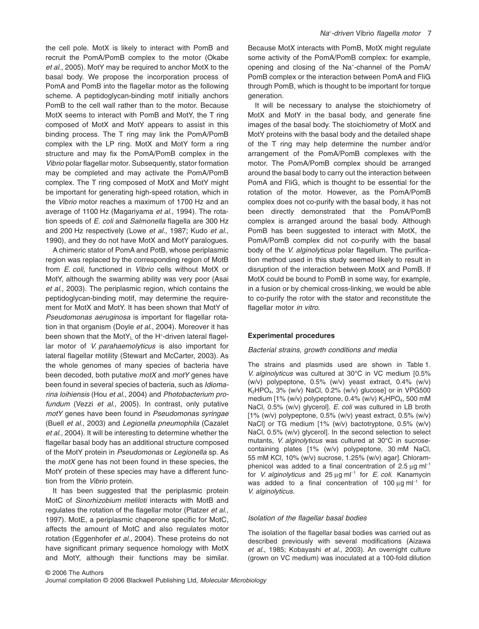the cell pole. MotX is likely to interact with PomB and recruit the PomA/PomB complex to the motor (Okabe et al., 2005). MotY may be required to anchor MotX to the basal body. We propose the incorporation process of PomA and PomB into the flagellar motor as the following scheme. A peptidoglycan-binding motif initially anchors PomB to the cell wall rather than to the motor. Because MotX seems to interact with PomB and MotY, the T ring composed of MotX and MotY appears to assist in this binding process. The T ring may link the PomA/PomB complex with the LP ring. MotX and MotY form a ring structure and may fix the PomA/PomB complex in the Vibrio polar flagellar motor. Subsequently, stator formation may be completed and may activate the PomA/PomB complex. The T ring composed of MotX and MotY might be important for generating high-speed rotation, which in the Vibrio motor reaches a maximum of 1700 Hz and an average of 1100 Hz (Magariyama et al., 1994). The rotation speeds of E. coli and Salmonella flagella are 300 Hz and 200 Hz respectively (Lowe et al., 1987; Kudo et al., 1990), and they do not have MotX and MotY paralogues.

A chimeric stator of PomA and PotB, whose periplasmic region was replaced by the corresponding region of MotB from E. coli, functioned in Vibrio cells without MotX or MotY, although the swarming ability was very poor (Asai et al., 2003). The periplasmic region, which contains the peptidoglycan-binding motif, may determine the requirement for MotX and MotY. It has been shown that MotY of Pseudomonas aeruginosa is important for flagellar rotation in that organism (Doyle et al., 2004). Moreover it has been shown that the MotY $_{\mathsf{L}}$  of the H+-driven lateral flagellar motor of V. parahaemolyticus is also important for lateral flagellar motility (Stewart and McCarter, 2003). As the whole genomes of many species of bacteria have been decoded, both putative motX and motY genes have been found in several species of bacteria, such as Idiomarina loihiensis (Hou et al., 2004) and Photobacterium profundum (Vezzi et al., 2005). In contrast, only putative motY genes have been found in Pseudomonas syringae (Buell et al., 2003) and Legionella pneumophila (Cazalet et al., 2004). It will be interesting to determine whether the flagellar basal body has an additional structure composed of the MotY protein in Pseudomonas or Legionella sp. As the  $motX$  gene has not been found in these species, the MotY protein of these species may have a different function from the Vibrio protein.

It has been suggested that the periplasmic protein MotC of Sinorhizobium meliloti interacts with MotB and regulates the rotation of the flagellar motor (Platzer et al., 1997). MotE, a periplasmic chaperone specific for MotC, affects the amount of MotC and also regulates motor rotation (Eggenhofer et al., 2004). These proteins do not have significant primary sequence homology with MotX and MotY, although their functions may be similar. Because MotX interacts with PomB, MotX might regulate some activity of the PomA/PomB complex: for example, opening and closing of the Na<sup>+</sup> -channel of the PomA/

through PomB, which is thought to be important for torque

It will be necessary to analyse the stoichiometry of MotX and MotY in the basal body, and generate fine images of the basal body. The stoichiometry of MotX and MotY proteins with the basal body and the detailed shape of the T ring may help determine the number and/or arrangement of the PomA/PomB complexes with the motor. The PomA/PomB complex should be arranged around the basal body to carry out the interaction between PomA and FliG, which is thought to be essential for the rotation of the motor. However, as the PomA/PomB complex does not co-purify with the basal body, it has not been directly demonstrated that the PomA/PomB complex is arranged around the basal body. Although PomB has been suggested to interact with MotX, the PomA/PomB complex did not co-purify with the basal body of the V. alginolyticus polar flagellum. The purification method used in this study seemed likely to result in disruption of the interaction between MotX and PomB. If MotX could be bound to PomB in some way, for example, in a fusion or by chemical cross-linking, we would be able to co-purify the rotor with the stator and reconstitute the flagellar motor in vitro.

#### **Experimental procedures**

generation.

#### Bacterial strains, growth conditions and media

The strains and plasmids used are shown in Table 1. V. alginolyticus was cultured at 30°C in VC medium [0.5% (w/v) polypeptone, 0.5% (w/v) yeast extract, 0.4% (w/v) K2HPO4, 3% (w/v) NaCl, 0.2% (w/v) glucose] or in VPG500 medium [1% (w/v) polypeptone, 0.4% (w/v) K<sub>2</sub>HPO<sub>4</sub>, 500 mM NaCl, 0.5% (w/v) glycerol]. E. coli was cultured in LB broth [1% (w/v) polypeptone, 0.5% (w/v) yeast extract, 0.5% (w/v) NaCl] or TG medium [1% (w/v) bactotryptone, 0.5% (w/v) NaCl, 0.5% (w/v) glycerol]. In the second selection to select mutants, V. alginolyticus was cultured at 30°C in sucrosecontaining plates [1% (w/v) polypeptone, 30 mM NaCl, 55 mM KCl, 10% (w/v) sucrose, 1.25% (w/v) agar]. Chloramphenicol was added to a final concentration of  $2.5 \mu g$  m $1^{-1}$ for V. alginolyticus and 25  $\mu$ g m $^{-1}$  for E. coli. Kanamycin was added to a final concentration of  $100 \mu g$  m $^{-1}$  for V. alginolyticus.

#### Isolation of the flagellar basal bodies

The isolation of the flagellar basal bodies was carried out as described previously with several modifications (Aizawa et al., 1985; Kobayashi et al., 2003). An overnight culture (grown on VC medium) was inoculated at a 100-fold dilution

#### Na<sup>+</sup> -driven Vibrio flagella motor 7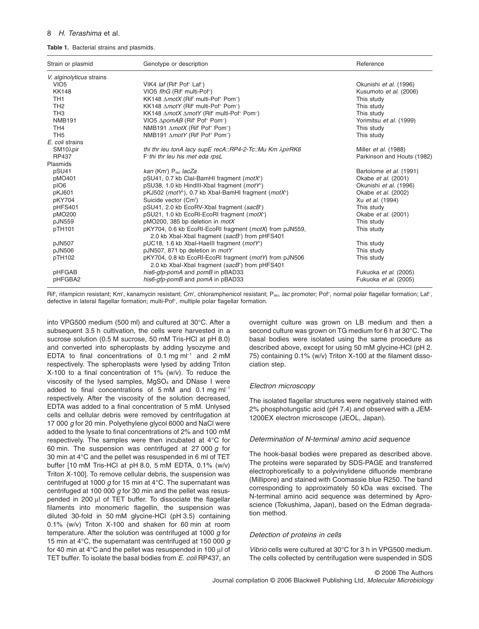#### **Table 1.** Bacterial strains and plasmids.

| Strain or plasmid        | Genotype or description                                                                                                | Reference                   |
|--------------------------|------------------------------------------------------------------------------------------------------------------------|-----------------------------|
| V. alginolyticus strains |                                                                                                                        |                             |
| VIO <sub>5</sub>         | VIK4 laf (Rif' Pof <sup>+</sup> Laf <sup>-</sup> )                                                                     | Okunishi et al. (1996)      |
| <b>KK148</b>             | VIO5 flhG (Rif' multi-Pof <sup>+</sup> )                                                                               | Kusumoto et al. (2006)      |
| TH <sub>1</sub>          | KK148 ∆motX (Rif' multi-Pof <sup>+</sup> Pom <sup>-</sup> )                                                            | This study                  |
| TH <sub>2</sub>          | KK148 ∆motY (Rif' multi-Pof <sup>+</sup> Pom <sup>-</sup> )                                                            | This study                  |
| TH <sub>3</sub>          | KK148 ∆motX ∆motY (Rif' multi-Pof <sup>+</sup> Pom <sup>-</sup> )                                                      | This study                  |
| <b>NMB191</b>            | VIO5 ∆pomAB (Rif <sup>r</sup> Pof <sup>+</sup> Pom <sup>-</sup> )                                                      | Yorimitsu et al. (1999)     |
| TH <sub>4</sub>          | NMB191 ∆motX (Rif <sup>r</sup> Pof <sup>+</sup> Pom <sup>-</sup> )                                                     | This study                  |
| TH <sub>5</sub>          | NMB191 ∆motY (Rif <sup>r</sup> Pof <sup>+</sup> Pom <sup>-</sup> )                                                     | This study                  |
| E. coli strains          |                                                                                                                        |                             |
| SM10λpir                 | thi thr leu tonA lacy supE recA::RP4-2-Tc::Mu Km $\lambda$ pirRK6                                                      | Miller <i>et al.</i> (1988) |
| RP437                    | F-thi thr leu his met eda rpsL                                                                                         | Parkinson and Houts (1982)  |
| Plasmids                 |                                                                                                                        |                             |
| pSU41                    | kan (Km') $P_{loc}$ lacZa                                                                                              | Bartolome et al. (1991)     |
| pMO401                   | pSU41, 0.7 kb Clal-BamHI fragment (motX <sup>+</sup> )                                                                 | Okabe et al. (2001)         |
| pIO6                     | pSU38, 1.0 kb HindIII-Xbal fragment (motY <sup>+</sup> )                                                               | Okunishi et al. (1996)      |
| pKJ601                   | pKJ502 (motY <sup>+</sup> ), 0.7 kb Xbal-BamHI fragment (motX <sup>+</sup> )                                           | Okabe et al. (2002)         |
| pKY704                   | Suicide vector (Cm <sup>r</sup> )                                                                                      | Xu et al. (1994)            |
| pHFS401                  | pSU41, 2.0 kb EcoRV-Xbal fragment (sacB+)                                                                              | This study                  |
| pMO200                   | pSU21, 1.0 kb EcoRI-EcoRI fragment (motX <sup>+</sup> )                                                                | Okabe et al. (2001)         |
| pJN559                   | pMO200, 385 bp deletion in motX                                                                                        | This study                  |
| pTH101                   | pKY704, 0.6 kb EcoRI-EcoRI fragment (motX) from pJN559,<br>2.0 kb Xbal-Xbal fragment (sacB <sup>+</sup> ) from pHFS401 | This study                  |
| pJN507                   | pUC18, 1.6 kb Xbal-Haelll fragment (motY <sup>+</sup> )                                                                | This study                  |
| pJN506                   | pJN507, 871 bp deletion in motY                                                                                        | This study                  |
| pTH102                   | pKY704, 0.8 kb EcoRI-EcoRI fragment (motY) from pJN506<br>2.0 kb Xbal-Xbal fragment (sacB <sup>+</sup> ) from pHFS401  | This study                  |
| pHFGAB                   | his6-gfp-pomA and pomB in pBAD33                                                                                       | Fukuoka et al. (2005)       |
| pHFGBA2                  | his6-qfp-pomB and pomA in pBAD33                                                                                       | Fukuoka et al. (2005)       |

Rif', rifampicin resistant; Km', kanamycin resistant; Cm', chloramphenicol resistant; Plac, lac promoter; Pof+, normal polar flagellar formation; Laf-, defective in lateral flagellar formation; multi-Pof<sup>+</sup>, multiple polar flagellar formation.

into VPG500 medium (500 ml) and cultured at 30°C. After a subsequent 3.5 h cultivation, the cells were harvested in a sucrose solution (0.5 M sucrose, 50 mM Tris-HCl at pH 8.0) and converted into spheroplasts by adding lysozyme and EDTA to final concentrations of  $0.1 \text{ mg} \text{ ml}^{-1}$  and  $2 \text{ mM}$ respectively. The spheroplasts were lysed by adding Triton X-100 to a final concentration of 1% (w/v). To reduce the viscosity of the lysed samples,  $MgSO<sub>4</sub>$  and DNase I were added to final concentrations of  $5 \text{ mM}$  and  $0.1 \text{ mg} \text{ ml}^{-1}$ respectively. After the viscosity of the solution decreased, EDTA was added to a final concentration of 5 mM. Unlysed cells and cellular debris were removed by centrifugation at 17 000 g for 20 min. Polyethylene glycol 6000 and NaCl were added to the lysate to final concentrations of 2% and 100 mM respectively. The samples were then incubated at 4°C for 60 min. The suspension was centrifuged at 27 000  $q$  for 30 min at 4°C and the pellet was resuspended in 6 ml of TET buffer [10 mM Tris-HCl at pH 8.0, 5 mM EDTA, 0.1% (w/v) Triton X-100]. To remove cellular debris, the suspension was centrifuged at 1000 g for 15 min at  $4^{\circ}$ C. The supernatant was centrifuged at 100 000  $g$  for 30 min and the pellet was resuspended in 200  $\mu$ l of TET buffer. To dissociate the flagellar filaments into monomeric flagellin, the suspension was diluted 30-fold in 50 mM glycine-HCl (pH 3.5) containing 0.1% (w/v) Triton X-100 and shaken for 60 min at room temperature. After the solution was centrifuged at 1000  $g$  for 15 min at 4 $\degree$ C, the supernatant was centrifuged at 150 000 g for 40 min at  $4^{\circ}$ C and the pellet was resuspended in 100  $\mu$ l of TET buffer. To isolate the basal bodies from E. coli RP437, an

overnight culture was grown on LB medium and then a second culture was grown on TG medium for 6 h at 30°C. The basal bodies were isolated using the same procedure as described above, except for using 50 mM glycine-HCl (pH 2. 75) containing 0.1% (w/v) Triton X-100 at the filament dissociation step.

# Electron microscopy

The isolated flagellar structures were negatively stained with 2% phosphotungstic acid (pH 7.4) and observed with a JEM-1200EX electron microscope (JEOL, Japan).

# Determination of N-terminal amino acid sequence

The hook-basal bodies were prepared as described above. The proteins were separated by SDS-PAGE and transferred electrophoretically to a polyvinylidene difluoride membrane (Millipore) and stained with Coomassie blue R250. The band corresponding to approximately 50 kDa was excised. The N-terminal amino acid sequence was determined by Aproscience (Tokushima, Japan), based on the Edman degradation method.

# Detection of proteins in cells

Vibrio cells were cultured at 30°C for 3 h in VPG500 medium. The cells collected by centrifugation were suspended in SDS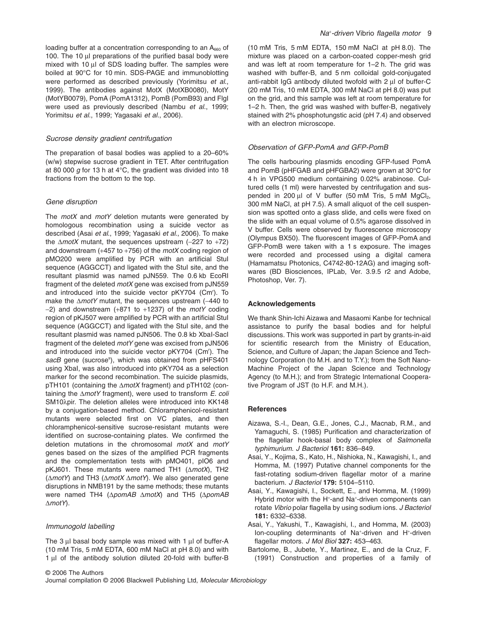loading buffer at a concentration corresponding to an  $A_{660}$  of 100. The 10  $\mu$ l preparations of the purified basal body were mixed with 10  $\mu$ l of SDS loading buffer. The samples were boiled at 90°C for 10 min. SDS-PAGE and immunoblotting were performed as described previously (Yorimitsu et al., 1999). The antibodies against MotX (MotXB0080), MotY (MotYB0079), PomA (PomA1312), PomB (PomB93) and FlgI were used as previously described (Nambu et al., 1999; Yorimitsu et al., 1999; Yagasaki et al., 2006).

### Sucrose density gradient centrifugation

The preparation of basal bodies was applied to a 20–60% (w/w) stepwise sucrose gradient in TET. After centrifugation at 80 000  $\alpha$  for 13 h at 4°C, the gradient was divided into 18 fractions from the bottom to the top.

# Gene disruption

The  $motX$  and  $motY$  deletion mutants were generated by homologous recombination using a suicide vector as described (Asai et al., 1999; Yagasaki et al., 2006). To make the  $\Delta motX$  mutant, the sequences upstream (-227 to +72) and downstream  $(+457 \text{ to } +756)$  of the *motX* coding region of pMO200 were amplified by PCR with an artificial StuI sequence (AGGCCT) and ligated with the Stul site, and the resultant plasmid was named pJN559. The 0.6 kb EcoRI fragment of the deleted motX gene was excised from pJN559 and introduced into the suicide vector pKY704 (Cmr ). To make the  $\Delta motY$  mutant, the sequences upstream (-440 to  $-2$ ) and downstream (+871 to +1237) of the motY coding region of pKJ507 were amplified by PCR with an artificial StuI sequence (AGGCCT) and ligated with the Stul site, and the resultant plasmid was named pJN506. The 0.8 kb XbaI-SacI fragment of the deleted motY gene was excised from pJN506 and introduced into the suicide vector pKY704 (Cmr ). The sacB gene (sucrose<sup>s</sup>), which was obtained from pHFS401 using XbaI, was also introduced into pKY704 as a selection marker for the second recombination. The suicide plasmids, pTH101 (containing the  $\Delta$ motX fragment) and pTH102 (containing the  $\Delta$ motY fragment), were used to transform E. coli SM10λpir. The deletion alleles were introduced into KK148 by a conjugation-based method. Chloramphenicol-resistant mutants were selected first on VC plates, and then chloramphenicol-sensitive sucrose-resistant mutants were identified on sucrose-containing plates. We confirmed the deletion mutations in the chromosomal motX and motY genes based on the sizes of the amplified PCR fragments and the complementation tests with pMO401, pIO6 and pKJ601. These mutants were named TH1  $(\Delta motX)$ , TH2  $(\Delta motY)$  and TH3  $(\Delta motX \Delta motY)$ . We also generated gene disruptions in NMB191 by the same methods; these mutants were named TH4 ( $\Delta$ pomAB  $\Delta$ motX) and TH5 ( $\Delta$ pomAB  $\triangle m$ otY).

#### Immunogold labelling

© 2006 The Authors

The  $3 \mu$  basal body sample was mixed with 1  $\mu$ l of buffer-A (10 mM Tris, 5 mM EDTA, 600 mM NaCl at pH 8.0) and with 1 µl of the antibody solution diluted 20-fold with buffer-B (10 mM Tris, 5 mM EDTA, 150 mM NaCl at pH 8.0). The mixture was placed on a carbon-coated copper-mesh grid and was left at room temperature for 1–2 h. The grid was washed with buffer-B, and 5 nm colloidal gold-conjugated anti-rabbit  $I$ gG antibody diluted twofold with  $2 \mu I$  of buffer-C (20 mM Tris, 10 mM EDTA, 300 mM NaCl at pH 8.0) was put on the grid, and this sample was left at room temperature for 1–2 h. Then, the grid was washed with buffer-B, negatively stained with 2% phosphotungstic acid (pH 7.4) and observed with an electron microscope.

#### Observation of GFP-PomA and GFP-PomB

The cells harbouring plasmids encoding GFP-fused PomA and PomB (pHFGAB and pHFGBA2) were grown at 30°C for 4 h in VPG500 medium containing 0.02% arabinose. Cultured cells (1 ml) were harvested by centrifugation and suspended in 200  $\mu$ l of V buffer (50 mM Tris, 5 mM MgCl<sub>2</sub>, 300 mM NaCl, at pH 7.5). A small aliquot of the cell suspension was spotted onto a glass slide, and cells were fixed on the slide with an equal volume of 0.5% agarose dissolved in V buffer. Cells were observed by fluorescence microscopy (Olympus BX50). The fluorescent images of GFP-PomA and GFP-PomB were taken with a 1 s exposure. The images were recorded and processed using a digital camera (Hamamatsu Photonics, C4742-80-12AG) and imaging softwares (BD Biosciences, IPLab, Ver. 3.9.5 r2 and Adobe, Photoshop, Ver. 7).

#### **Acknowledgements**

We thank Shin-Ichi Aizawa and Masaomi Kanbe for technical assistance to purify the basal bodies and for helpful discussions. This work was supported in part by grants-in-aid for scientific research from the Ministry of Education, Science, and Culture of Japan; the Japan Science and Technology Corporation (to M.H. and to T.Y.); from the Soft Nano-Machine Project of the Japan Science and Technology Agency (to M.H.); and from Strategic International Cooperative Program of JST (to H.F. and M.H.).

# **References**

- Aizawa, S.-I., Dean, G.E., Jones, C.J., Macnab, R.M., and Yamaguchi, S. (1985) Purification and characterization of the flagellar hook-basal body complex of Salmonella typhimurium. J Bacteriol **161:** 836–849.
- Asai, Y., Kojima, S., Kato, H., Nishioka, N., Kawagishi, I., and Homma, M. (1997) Putative channel components for the fast-rotating sodium-driven flagellar motor of a marine bacterium. J Bacteriol **179:** 5104–5110.
- Asai, Y., Kawagishi, I., Sockett, E., and Homma, M. (1999) Hybrid motor with the H<sup>+</sup>-and Na<sup>+</sup>-driven components can rotate Vibrio polar flagella by using sodium ions. J Bacteriol **181:** 6332–6338.
- Asai, Y., Yakushi, T., Kawagishi, I., and Homma, M. (2003) lon-coupling determinants of Na<sup>+</sup>-driven and H<sup>+</sup>-driven flagellar motors. J Mol Biol **327:** 453–463.
- Bartolome, B., Jubete, Y., Martinez, E., and de la Cruz, F. (1991) Construction and properties of a family of

Journal compilation © 2006 Blackwell Publishing Ltd, Molecular Microbiology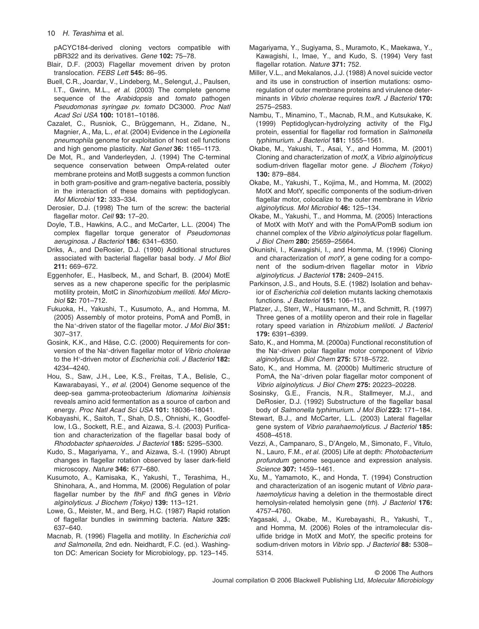pACYC184-derived cloning vectors compatible with pBR322 and its derivatives. Gene **102:** 75–78.

- Blair, D.F. (2003) Flagellar movement driven by proton translocation. FEBS Lett **545:** 86–95.
- Buell, C.R., Joardar, V., Lindeberg, M., Selengut, J., Paulsen, I.T., Gwinn, M.L., et al. (2003) The complete genome sequence of the Arabidopsis and tomato pathogen Pseudomonas syringae pv. tomato DC3000. Proc Natl Acad Sci USA **100:** 10181–10186.
- Cazalet, C., Rusniok, C., Brüggemann, H., Zidane, N., Magnier, A., Ma, L., et al. (2004) Evidence in the Legionella pneumophila genome for exploitation of host cell functions and high genome plasticity. Nat Genet **36:** 1165–1173.
- De Mot, R., and Vanderleyden, J. (1994) The C-terminal sequence conservation between OmpA-related outer membrane proteins and MotB suggests a common function in both gram-positive and gram-negative bacteria, possibly in the interaction of these domains with peptidoglycan. Mol Microbiol **12:** 333–334.
- Derosier, D.J. (1998) The turn of the screw: the bacterial flagellar motor. Cell **93:** 17–20.
- Doyle, T.B., Hawkins, A.C., and McCarter, L.L. (2004) The complex flagellar torque generator of Pseudomonas aeruginosa. J Bacteriol **186:** 6341–6350.
- Driks, A., and DeRosier, D.J. (1990) Additional structures associated with bacterial flagellar basal body. J Mol Biol **211:** 669–672.
- Eggenhofer, E., Haslbeck, M., and Scharf, B. (2004) MotE serves as a new chaperone specific for the periplasmic motility protein, MotC in Sinorhizobium meliloti. Mol Microbiol **52:** 701–712.
- Fukuoka, H., Yakushi, T., Kusumoto, A., and Homma, M. (2005) Assembly of motor proteins, PomA and PomB, in the Na<sup>+</sup> -driven stator of the flagellar motor. J Mol Biol **351:** 307–317.
- Gosink, K.K., and Häse, C.C. (2000) Requirements for conversion of the Na<sup>+</sup>-driven flagellar motor of Vibrio cholerae to the H<sup>+</sup> -driven motor of Escherichia coli. J Bacteriol **182:** 4234–4240.
- Hou, S., Saw, J.H., Lee, K.S., Freitas, T.A., Belisle, C., Kawarabayasi, Y., et al. (2004) Genome sequence of the deep-sea gamma-proteobacterium Idiomarina loihiensis reveals amino acid fermentation as a source of carbon and energy. Proc Natl Acad Sci USA **101:** 18036–18041.
- Kobayashi, K., Saitoh, T., Shah, D.S., Ohnishi, K., Goodfellow, I.G., Sockett, R.E., and Aizawa, S.-I. (2003) Purification and characterization of the flagellar basal body of Rhodobacter sphaeroides. J Bacteriol **185:** 5295–5300.
- Kudo, S., Magariyama, Y., and Aizawa, S.-I. (1990) Abrupt changes in flagellar rotation observed by laser dark-field microscopy. Nature **346:** 677–680.
- Kusumoto, A., Kamisaka, K., Yakushi, T., Terashima, H., Shinohara, A., and Homma, M. (2006) Regulation of polar flagellar number by the flhF and flhG genes in Vibrio alginolyticus. J Biochem (Tokyo) **139:** 113–121.
- Lowe, G., Meister, M., and Berg, H.C. (1987) Rapid rotation of flagellar bundles in swimming bacteria. Nature **325:** 637–640.
- Macnab, R. (1996) Flagella and motility. In Escherichia coli and Salmonella, 2nd edn. Neidhardt, F.C. (ed.). Washington DC: American Society for Microbiology, pp. 123–145.
- Magariyama, Y., Sugiyama, S., Muramoto, K., Maekawa, Y., Kawagishi, I., Imae, Y., and Kudo, S. (1994) Very fast flagellar rotation. Nature **371:** 752.
- Miller, V.L., and Mekalanos, J.J. (1988) A novel suicide vector and its use in construction of insertion mutations: osmoregulation of outer membrane proteins and virulence determinants in Vibrio cholerae requires toxR. J Bacteriol **170:** 2575–2583.
- Nambu, T., Minamino, T., Macnab, R.M., and Kutsukake, K. (1999) Peptidoglycan-hydrolyzing activity of the FlgJ protein, essential for flagellar rod formation in Salmonella typhimurium. J Bacteriol **181:** 1555–1561.
- Okabe, M., Yakushi, T., Asai, Y., and Homma, M. (2001) Cloning and characterization of motX, a Vibrio alginolyticus sodium-driven flagellar motor gene. J Biochem (Tokyo) **130:** 879–884.
- Okabe, M., Yakushi, T., Kojima, M., and Homma, M. (2002) MotX and MotY, specific components of the sodium-driven flagellar motor, colocalize to the outer membrane in Vibrio alginolyticus. Mol Microbiol **46:** 125–134.
- Okabe, M., Yakushi, T., and Homma, M. (2005) Interactions of MotX with MotY and with the PomA/PomB sodium ion channel complex of the Vibrio alginolyticus polar flagellum. J Biol Chem **280:** 25659–25664.
- Okunishi, I., Kawagishi, I., and Homma, M. (1996) Cloning and characterization of motY, a gene coding for a component of the sodium-driven flagellar motor in Vibrio alginolyticus. J Bacteriol **178:** 2409–2415.
- Parkinson, J.S., and Houts, S.E. (1982) Isolation and behavior of Escherichia coli deletion mutants lacking chemotaxis functions. J Bacteriol **151:** 106–113.
- Platzer, J., Sterr, W., Hausmann, M., and Schmitt, R. (1997) Three genes of a motility operon and their role in flagellar rotary speed variation in Rhizobium meliloti. J Bacteriol **179:** 6391–6399.
- Sato, K., and Homma, M. (2000a) Functional reconstitution of the Na<sup>+</sup>-driven polar flagellar motor component of Vibric alginolyticus. J Biol Chem **275:** 5718–5722.
- Sato, K., and Homma, M. (2000b) Multimeric structure of PomA, the Na<sup>+</sup>-driven polar flagellar motor component of Vibrio alginolyticus. J Biol Chem **275:** 20223–20228.
- Sosinsky, G.E., Francis, N.R., Stallmeyer, M.J., and DeRosier, D.J. (1992) Substructure of the flagellar basal body of Salmonella typhimurium. J Mol Biol **223:** 171–184.
- Stewart, B.J., and McCarter, L.L. (2003) Lateral flagellar gene system of Vibrio parahaemolyticus. J Bacteriol **185:** 4508–4518.
- Vezzi, A., Campanaro, S., D'Angelo, M., Simonato, F., Vitulo, N., Lauro, F.M., et al. (2005) Life at depth: Photobacterium profundum genome sequence and expression analysis. Science **307:** 1459–1461.
- Xu, M., Yamamoto, K., and Honda, T. (1994) Construction and characterization of an isogenic mutant of Vibrio parahaemolyticus having a deletion in the thermostable direct hemolysin-related hemolysin gene (trh). J Bacteriol **176:** 4757–4760.
- Yagasaki, J., Okabe, M., Kurebayashi, R., Yakushi, T., and Homma, M. (2006) Roles of the intramolecular disulfide bridge in MotX and MotY, the specific proteins for sodium-driven motors in Vibrio spp. J Bacteriol **88:** 5308– 5314.